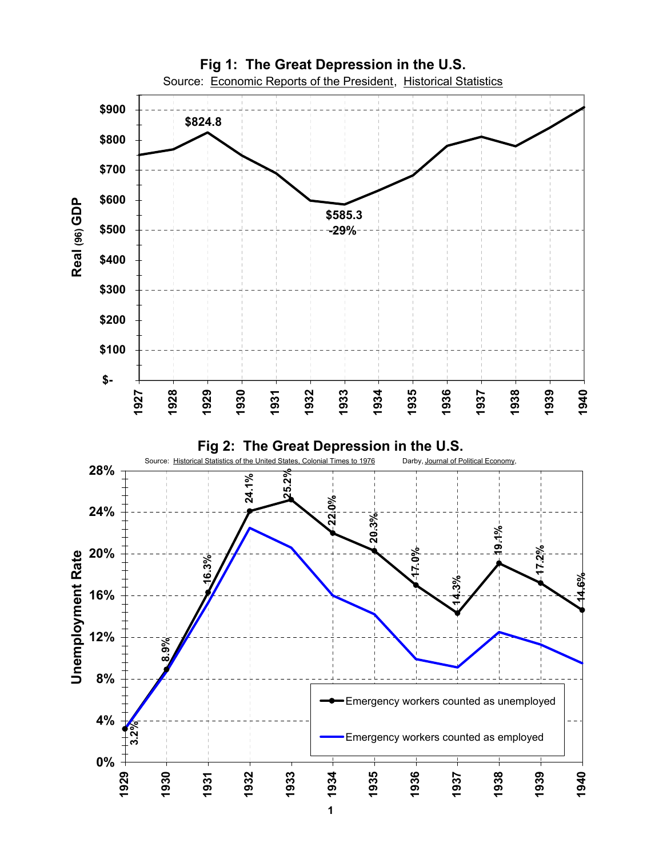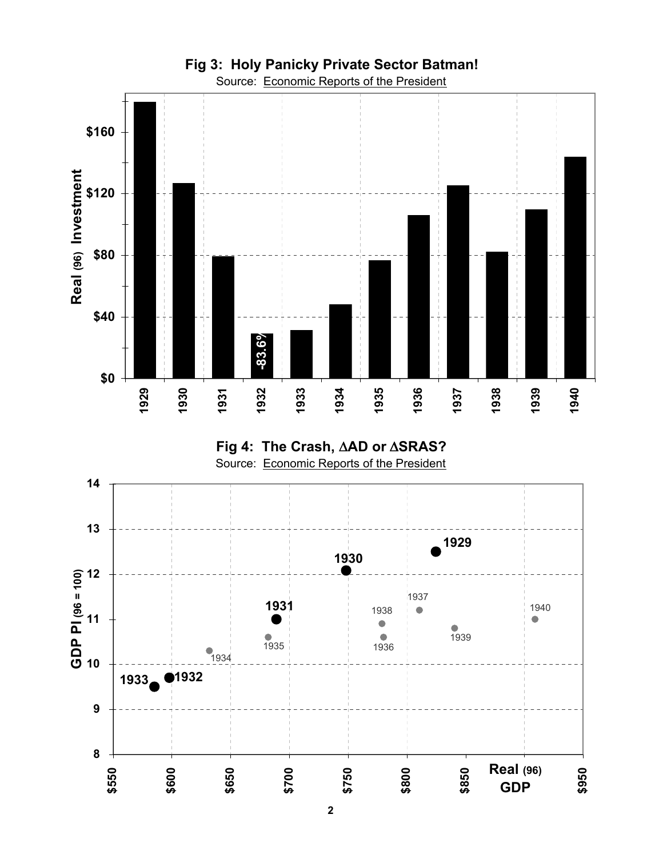



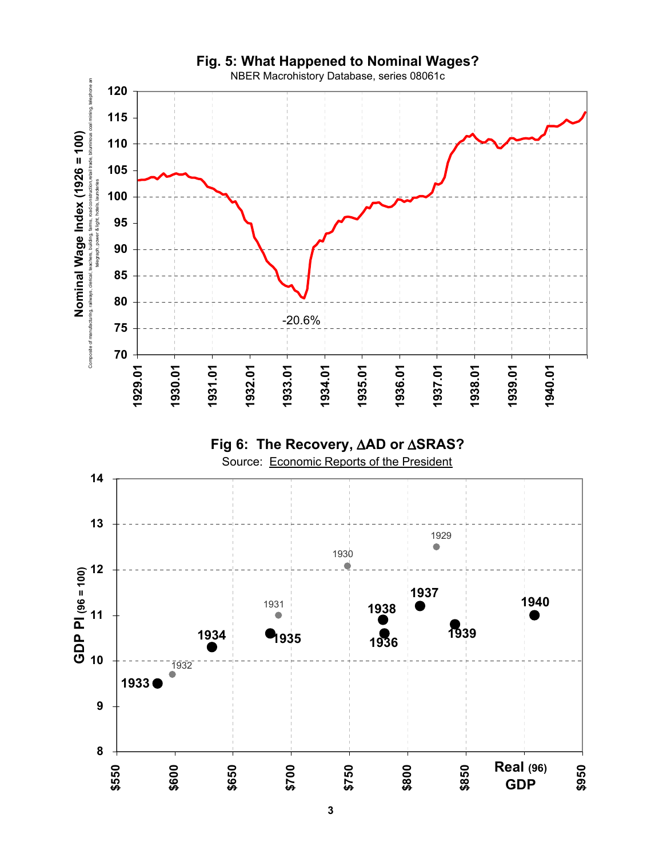



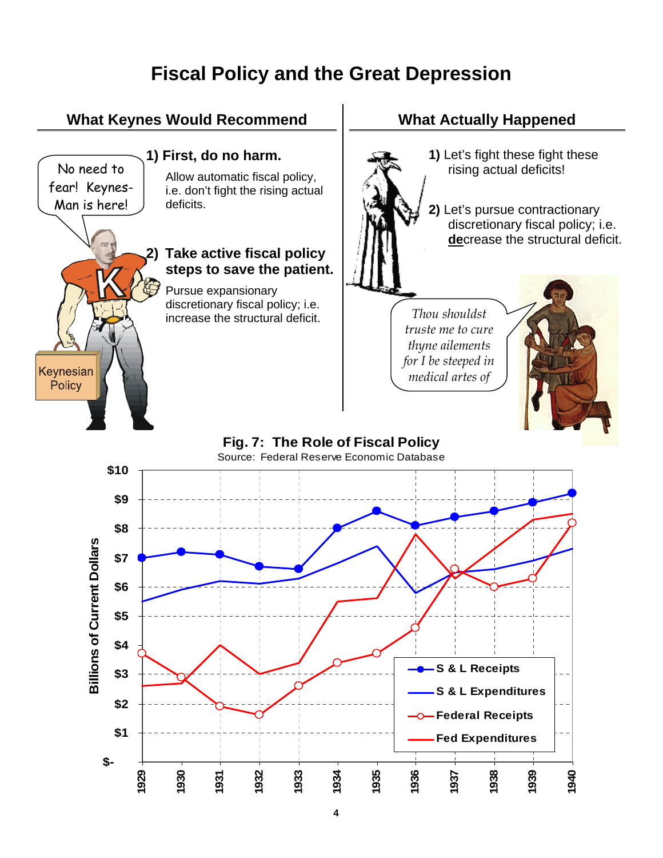## **Fiscal Policy and the Great Depression**

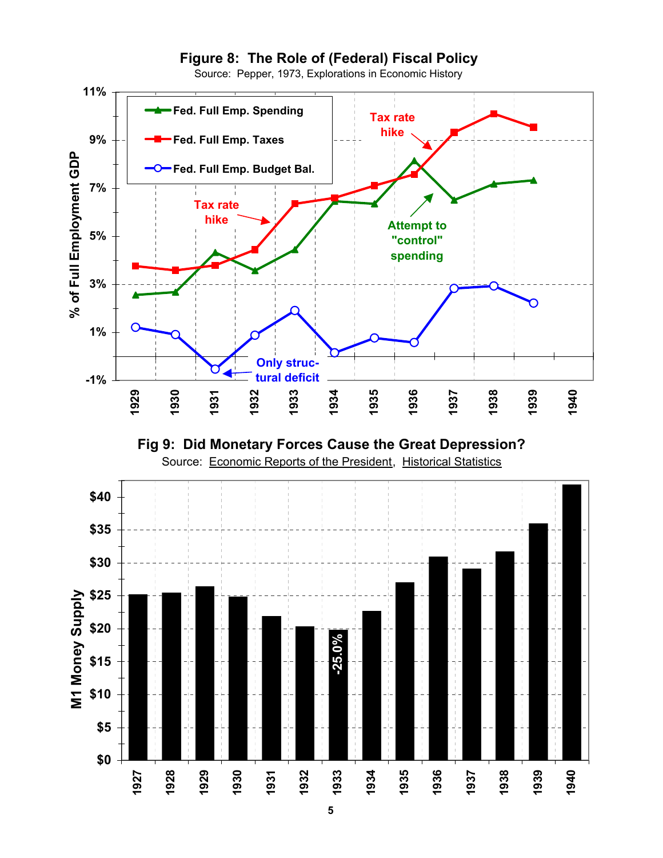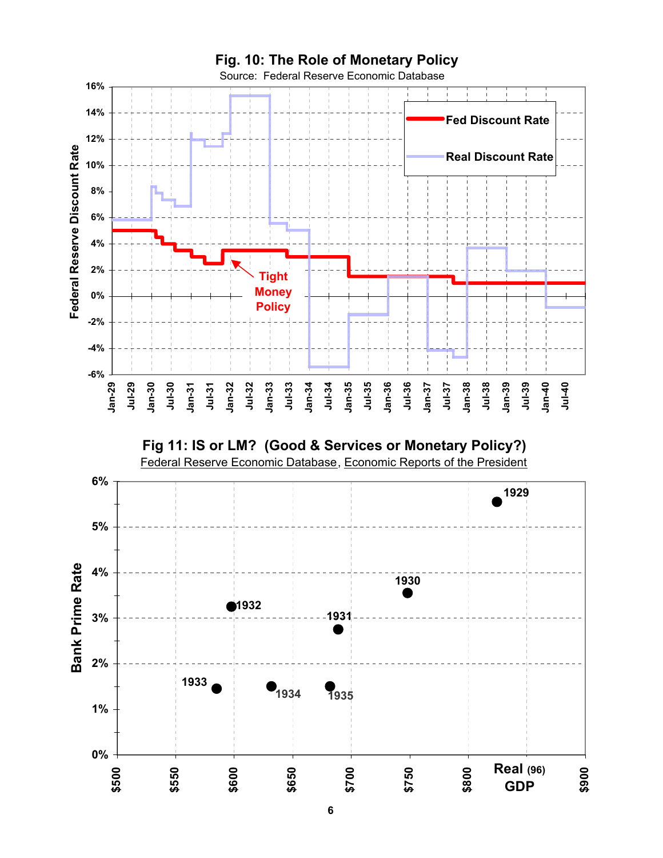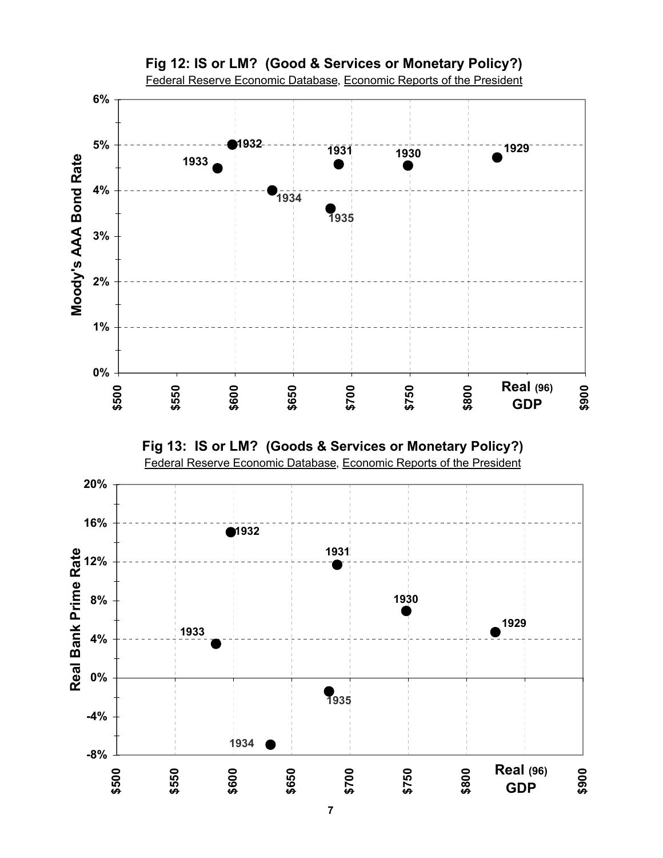

**Fig 13: IS or LM? (Goods & Services or Monetary Policy?)**



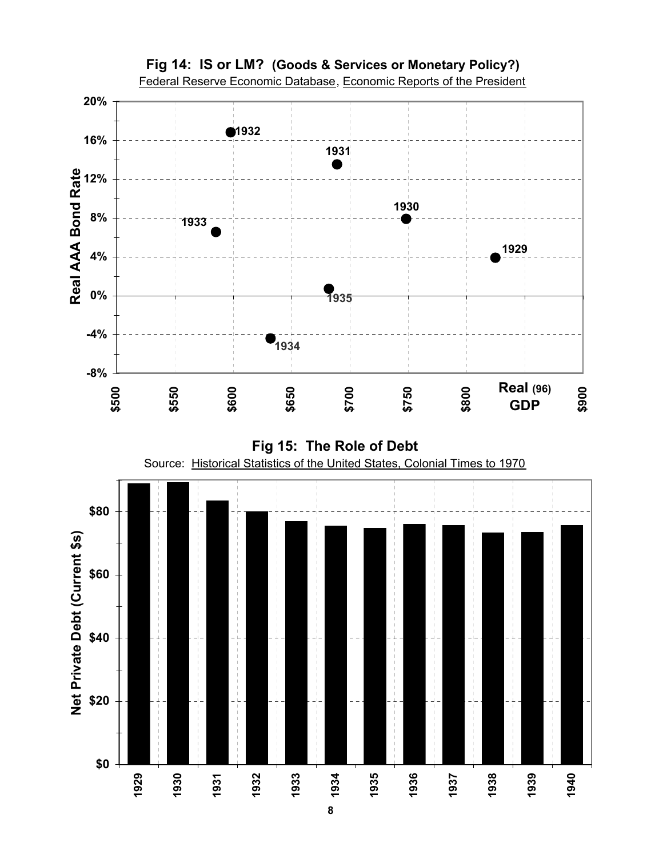

**Fig 15: The Role of Debt**